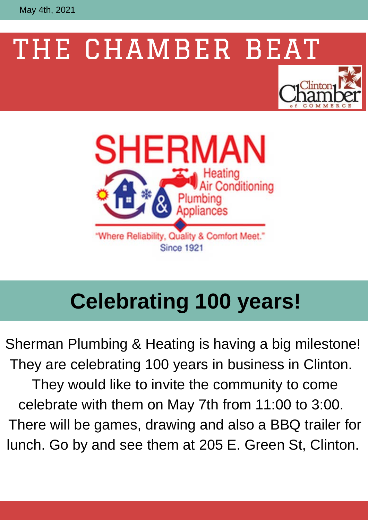May 4th, 2021

# THE CHAMBER BEAT





### **Celebrating 100 years!**

Sherman Plumbing & Heating is having a big milestone! They are celebrating 100 years in business in Clinton. They would like to invite the community to come celebrate with them on May 7th from 11:00 to 3:00. There will be games, drawing and also a BBQ trailer for lunch. Go by and see them at 205 E. Green St, Clinton.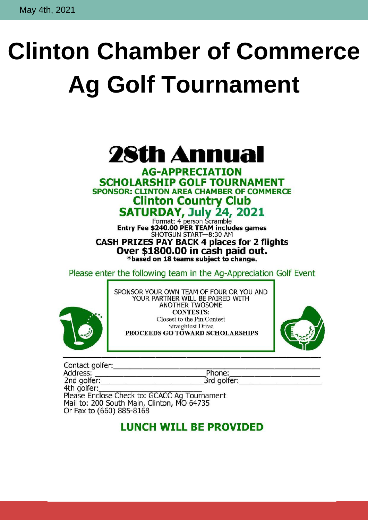# **Clinton Chamber of Commerce Ag Golf Tournament**

### 28th Annual

**AG-APPRECIATION SCHOLARSHIP GOLF TOURNAMENT SPONSOR: CLINTON AREA CHAMBER OF COMMERCE Clinton Country Club** 

SATURDAY, July 24, 2021

Format: 4 person Scramble<br>Entry Fee \$240.00 PER TEAM includes games SHOTGUN START-8:30 AM **CASH PRIZES PAY BACK 4 places for 2 flights** Over \$1800.00 in cash paid out. \*based on 18 teams subject to change.

Please enter the following team in the Ag-Appreciation Golf Event



SPONSOR YOUR OWN TEAM OF FOUR OR YOU AND<br>YOUR PARTNER WILL BE PAIRED WITH ANOTHER TWOSOME **CONTESTS:** Closest to the Pin Contest **Straightest Drive** PROCEEDS GO TOWARD SCHOLARSHIPS



| Contact golfer:                              |             |  |
|----------------------------------------------|-------------|--|
| Address:                                     | Phone:      |  |
| 2nd golfer:                                  | 3rd golfer: |  |
| 4th golfer:                                  |             |  |
| Please Enclose Check to: GCACC Ag Tournament |             |  |
| Mail to: 200 South Main, Clinton, MO 64735   |             |  |
| Or Fax to (660) 885-8168                     |             |  |

#### **LUNCH WILL BE PROVIDED**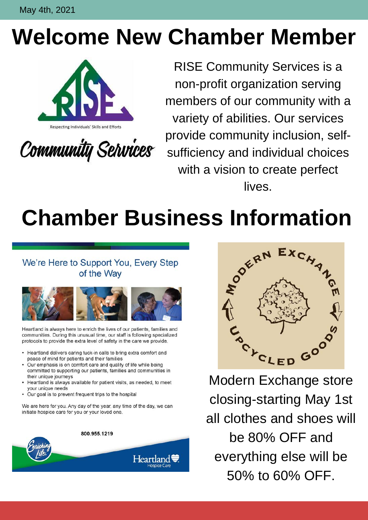May 4th, 2021

### **Welcome New Chamber Member**



Community Services

RISE Community Services is a non-profit organization serving members of our community with a variety of abilities. Our services provide community inclusion, selfsufficiency and individual choices with a vision to create perfect lives.

## **Chamber Business Information**

#### We're Here to Support You, Every Step of the Way



Heartland is always here to enrich the lives of our patients, families and communities. During this unusual time, our staff is following specialized protocols to provide the extra level of safety in the care we provide.

- Heartland delivers caring tuck-in calls to bring extra comfort and peace of mind for patients and their families
- Our emphasis is on comfort care and quality of life while being committed to supporting our patients, families and communities in their unique journeys
- Heartland is always available for patient visits, as needed, to meet your unique needs
- Our goal is to prevent frequent trips to the hospital

We are here for you. Any day of the year, any time of the day, we can initiate hospice care for you or your loved one.

800.955.1219





Modern Exchange store closing-starting May 1st all clothes and shoes will be 80% OFF and everything else will be 50% to 60% OFF.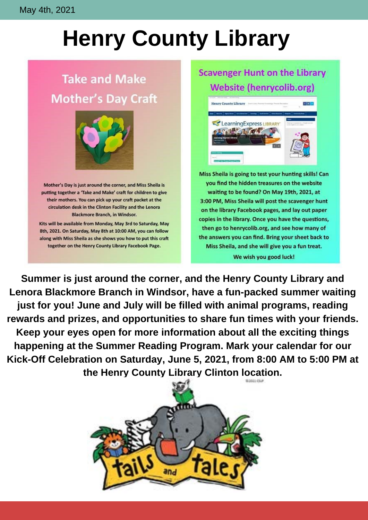### **Henry County Library**

#### **Take and Make Mother's Day Craft**



Mother's Day is just around the corner, and Miss Sheila is putting together a 'Take and Make' craft for children to give their mothers. You can pick up your craft packet at the circulation desk in the Clinton Facility and the Lenora **Blackmore Branch, in Windsor.** 

Kits will be available from Monday, May 3rd to Saturday, May 8th, 2021. On Saturday, May 8th at 10:00 AM, you can follow along with Miss Sheila as she shows you how to put this craft together on the Henry County Library Facebook Page.

#### **Scavenger Hunt on the Library Website (henrycolib.org)**



Miss Sheila is going to test your hunting skills! Can you find the hidden treasures on the website waiting to be found? On May 19th, 2021, at 3:00 PM, Miss Sheila will post the scavenger hunt on the library Facebook pages, and lay out paper copies in the library. Once you have the questions, then go to henrycolib.org, and see how many of the answers you can find. Bring your sheet back to Miss Sheila, and she will give you a fun treat. We wish you good luck!

**Summer is just around the corner, and the Henry County Library and Lenora Blackmore Branch in Windsor, have a fun-packed summer waiting just for you! June and July will be filled with animal programs, reading rewards and prizes, and opportunities to share fun times with your friends. Keep your eyes open for more information about all the exciting things happening at the Summer Reading Program. Mark your calendar for our Kick-Off Celebration on Saturday, June 5, 2021, from 8:00 AM to 5:00 PM at the Henry County Library Clinton location.**